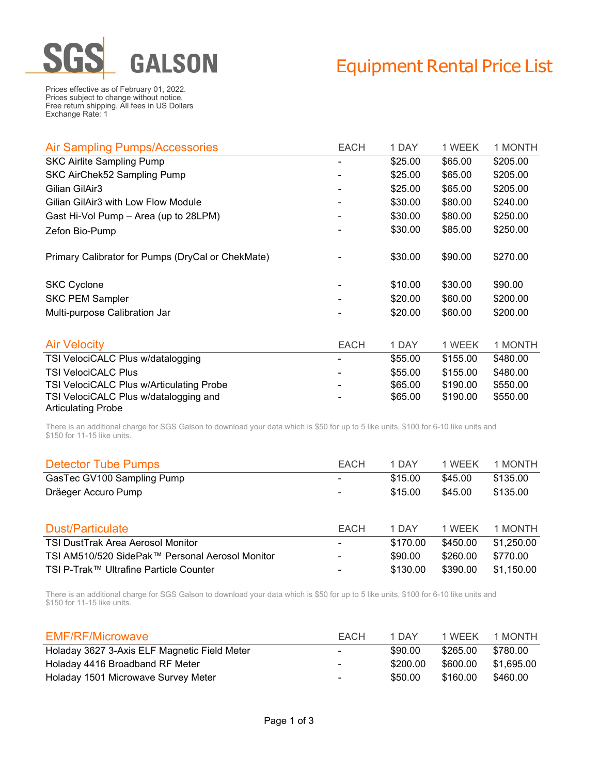

## Equipment Rental Price List

Prices effective as of February 01, 2022. Prices subject to change without notice. Free return shipping. All fees in US Dollars Exchange Rate: 1

| Air Sampling Pumps/Accessories                    | <b>EACH</b>              | 1 DAY   | 1 WEEK   | 1 MONTH  |
|---------------------------------------------------|--------------------------|---------|----------|----------|
| <b>SKC Airlite Sampling Pump</b>                  |                          | \$25.00 | \$65.00  | \$205.00 |
| SKC AirChek52 Sampling Pump                       |                          | \$25.00 | \$65.00  | \$205.00 |
| Gilian GilAir3                                    | ۰                        | \$25.00 | \$65.00  | \$205.00 |
| Gilian GilAir3 with Low Flow Module               |                          | \$30.00 | \$80.00  | \$240.00 |
| Gast Hi-Vol Pump - Area (up to 28LPM)             | $\overline{\phantom{a}}$ | \$30.00 | \$80.00  | \$250.00 |
| Zefon Bio-Pump                                    |                          | \$30.00 | \$85.00  | \$250.00 |
| Primary Calibrator for Pumps (DryCal or ChekMate) |                          | \$30.00 | \$90.00  | \$270.00 |
| <b>SKC Cyclone</b>                                |                          | \$10.00 | \$30.00  | \$90.00  |
| <b>SKC PEM Sampler</b>                            |                          | \$20.00 | \$60.00  | \$200.00 |
| Multi-purpose Calibration Jar                     |                          | \$20.00 | \$60.00  | \$200.00 |
|                                                   |                          |         |          |          |
| <b>Air Velocity</b>                               | <b>EACH</b>              | 1 DAY   | 1 WEEK   | 1 MONTH  |
| TSI VelociCALC Plus w/datalogging                 |                          | \$55.00 | \$155.00 | \$480.00 |
| <b>TSI VelociCALC Plus</b>                        |                          | \$55.00 | \$155.00 | \$480.00 |
| TSI VelociCALC Plus w/Articulating Probe          |                          | \$65.00 | \$190.00 | \$550.00 |
| TSI VelociCALC Plus w/datalogging and             |                          | \$65.00 | \$190.00 | \$550.00 |
| <b>Articulating Probe</b>                         |                          |         |          |          |

There is an additional charge for SGS Galson to download your data which is \$50 for up to 5 like units, \$100 for 6-10 like units and \$150 for 11-15 like units.

| <b>Detector Tube Pumps</b>                      | <b>EACH</b> | 1 DAY    | 1 WEEK   | 1 MONTH    |
|-------------------------------------------------|-------------|----------|----------|------------|
| GasTec GV100 Sampling Pump                      | ٠           | \$15.00  | \$45.00  | \$135.00   |
| Dräeger Accuro Pump                             | ۰           | \$15.00  | \$45.00  | \$135.00   |
|                                                 |             |          |          |            |
| <b>Dust/Particulate</b>                         | <b>EACH</b> | 1 DAY    | 1 WEEK   | 1 MONTH    |
| TSI DustTrak Area Aerosol Monitor               | ۰           | \$170.00 | \$450.00 | \$1,250.00 |
| TSI AM510/520 SidePak™ Personal Aerosol Monitor | ۰           | \$90.00  | \$260.00 | \$770.00   |
| TSI P-Trak™ Ultrafine Particle Counter          | ۰           | \$130.00 | \$390.00 | \$1,150.00 |

There is an additional charge for SGS Galson to download your data which is \$50 for up to 5 like units, \$100 for 6-10 like units and \$150 for 11-15 like units.

| <b>EMF/RF/Microwave</b>                      | EACH                     | 1 DAY    | 1 WEEK   | 1 MONTH    |
|----------------------------------------------|--------------------------|----------|----------|------------|
| Holaday 3627 3-Axis ELF Magnetic Field Meter | $\sim$                   | \$90.00  | \$265.00 | \$780.00   |
| Holaday 4416 Broadband RF Meter              | $\blacksquare$           | \$200.00 | \$600.00 | \$1.695.00 |
| Holaday 1501 Microwave Survey Meter          | $\overline{\phantom{a}}$ | \$50.00  | \$160.00 | \$460.00   |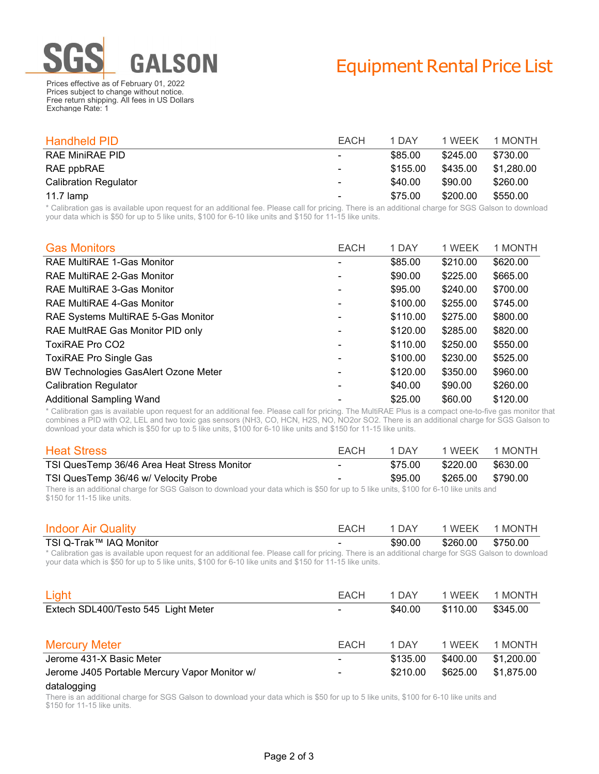

Prices effective as of February 01, 2022 Prices subject to change without notice. Free return shipping. All fees in US Dollars Exchange Rate: 1

| <b>Handheld PID</b>          | EACH           | 1 DAY    | 1 WEEK   | 1 MONTH    |
|------------------------------|----------------|----------|----------|------------|
| <b>RAE MiniRAE PID</b>       | $\blacksquare$ | \$85.00  | \$245.00 | \$730.00   |
| RAE ppbRAE                   | $\sim$         | \$155.00 | \$435.00 | \$1.280.00 |
| <b>Calibration Regulator</b> | $\sim$         | \$40.00  | \$90.00  | \$260.00   |
| 11.7 $l$ amp                 | ۰              | \$75.00  | \$200.00 | \$550.00   |

\* Calibration gas is available upon request for an additional fee. Please call for pricing. There is an additional charge for SGS Galson to download your data which is \$50 for up to 5 like units, \$100 for 6-10 like units and \$150 for 11-15 like units.

| <b>Gas Monitors</b>                         | <b>EACH</b>    | 1 DAY    | 1 WEEK   | 1 MONTH  |
|---------------------------------------------|----------------|----------|----------|----------|
| <b>RAE MultiRAE 1-Gas Monitor</b>           | ۰              | \$85.00  | \$210.00 | \$620.00 |
| RAE MultiRAE 2-Gas Monitor                  | ۰              | \$90.00  | \$225.00 | \$665.00 |
| RAE MultiRAE 3-Gas Monitor                  | ۰              | \$95.00  | \$240.00 | \$700.00 |
| RAE MultiRAE 4-Gas Monitor                  | ۰              | \$100.00 | \$255.00 | \$745.00 |
| RAE Systems MultiRAE 5-Gas Monitor          | ۰              | \$110.00 | \$275.00 | \$800.00 |
| RAE MultRAE Gas Monitor PID only            | ۰              | \$120.00 | \$285.00 | \$820.00 |
| <b>ToxiRAE Pro CO2</b>                      | $\blacksquare$ | \$110.00 | \$250.00 | \$550.00 |
| <b>ToxiRAE Pro Single Gas</b>               | ۰              | \$100.00 | \$230.00 | \$525.00 |
| <b>BW Technologies GasAlert Ozone Meter</b> |                | \$120.00 | \$350.00 | \$960.00 |
| <b>Calibration Regulator</b>                | -              | \$40.00  | \$90.00  | \$260.00 |
| <b>Additional Sampling Wand</b>             |                | \$25.00  | \$60.00  | \$120.00 |

\* Calibration gas is available upon request for an additional fee. Please call for pricing. The MultiRAE Plus is a compact one-to-five gas monitor that combines a PID with O2, LEL and two toxic gas sensors (NH3, CO, HCN, H2S, NO, NO2or SO2. There is an additional charge for SGS Galson to download your data which is \$50 for up to 5 like units, \$100 for 6-10 like units and \$150 for 11-15 like units.

| <b>Heat Stress</b>                                                                                                         | EACH                     | 1 DAY   | 1 WEEK            | 1 MONTH  |
|----------------------------------------------------------------------------------------------------------------------------|--------------------------|---------|-------------------|----------|
| TSI QuesTemp 36/46 Area Heat Stress Monitor                                                                                | $\overline{\phantom{a}}$ | \$75.00 | \$220.00          | \$630.00 |
| TSI QuesTemp 36/46 w/ Velocity Probe                                                                                       | $\sim$                   | \$95.00 | \$265.00 \$790.00 |          |
| The section of the section of a COO Ochoo to the section of the selection of APO formula Political Cooley Cool Changes and |                          |         |                   |          |

There is an additional charge for SGS Galson to download your data which is \$50 for up to 5 like units, \$100 for 6-10 like units and \$150 for 11-15 like units.

| <b>Indoor Air Quality</b> | <b>EACH</b> | , DAY   | WEEK     | 1 MONTH  |
|---------------------------|-------------|---------|----------|----------|
| TSI Q-Trak™ IAQ Monitor   |             | \$90.00 | \$260.00 | \$750.00 |

\* Calibration gas is available upon request for an additional fee. Please call for pricing. There is an additional charge for SGS Galson to download your data which is \$50 for up to 5 like units, \$100 for 6-10 like units and \$150 for 11-15 like units.

| Light                                         | <b>EACH</b>              | 1 DAY    | 1 WEEK   | 1 MONTH    |
|-----------------------------------------------|--------------------------|----------|----------|------------|
| Extech SDL400/Testo 545 Light Meter           | ۰                        | \$40.00  | \$110.00 | \$345.00   |
|                                               |                          |          |          |            |
| <b>Mercury Meter</b>                          | <b>EACH</b>              | 1 DAY    | 1 WEEK   | 1 MONTH    |
| Jerome 431-X Basic Meter                      | $\overline{\phantom{a}}$ | \$135.00 | \$400.00 | \$1,200.00 |
| Jerome J405 Portable Mercury Vapor Monitor w/ | ٠                        | \$210.00 | \$625.00 | \$1,875.00 |

## datalogging

There is an additional charge for SGS Galson to download your data which is \$50 for up to 5 like units, \$100 for 6-10 like units and \$150 for 11-15 like units.